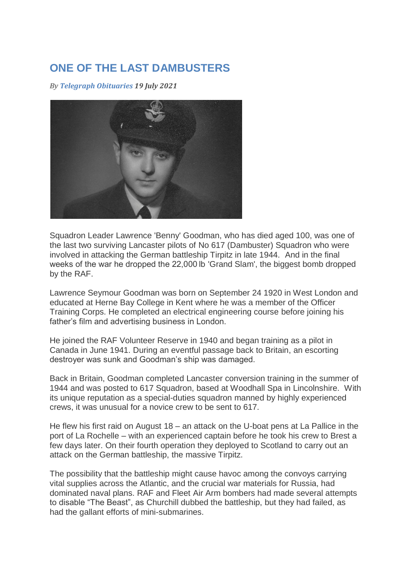## **ONE OF THE LAST DAMBUSTERS**

*By Telegraph Obituaries 19 July 2021* 



Squadron Leader Lawrence 'Benny' Goodman, who has died aged 100, was one of the last two surviving Lancaster pilots of No 617 (Dambuster) Squadron who were involved in attacking the German battleship Tirpitz in late 1944. And in the final weeks of the war he dropped the 22,000 lb 'Grand Slam', the biggest bomb dropped by the RAF.

Lawrence Seymour Goodman was born on September 24 1920 in West London and educated at Herne Bay College in Kent where he was a member of the Officer Training Corps. He completed an electrical engineering course before joining his father's film and advertising business in London.

He joined the RAF Volunteer Reserve in 1940 and began training as a pilot in Canada in June 1941. During an eventful passage back to Britain, an escorting destroyer was sunk and Goodman's ship was damaged.

Back in Britain, Goodman completed Lancaster conversion training in the summer of 1944 and was posted to 617 Squadron, based at Woodhall Spa in Lincolnshire. With its unique reputation as a special-duties squadron manned by highly experienced crews, it was unusual for a novice crew to be sent to 617.

He flew his first raid on August 18 – an attack on the U-boat pens at La Pallice in the port of La Rochelle – with an experienced captain before he took his crew to Brest a few days later. On their fourth operation they deployed to Scotland to carry out an attack on the German battleship, the massive Tirpitz.

The possibility that the battleship might cause havoc among the convoys carrying vital supplies across the Atlantic, and the crucial war materials for Russia, had dominated naval plans. RAF and Fleet Air Arm bombers had made several attempts to disable "The Beast", as Churchill dubbed the battleship, but they had failed, as had the gallant efforts of mini-submarines.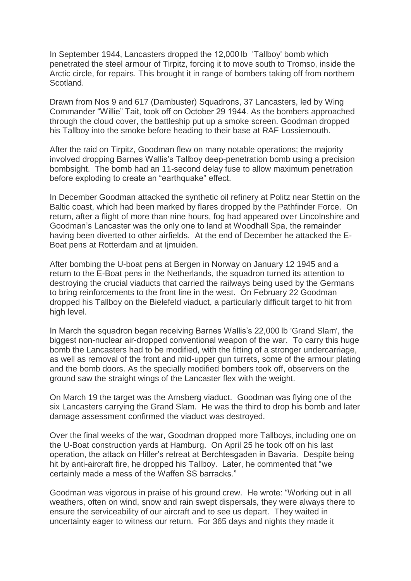In September 1944, Lancasters dropped the 12,000 lb 'Tallboy' bomb which penetrated the steel armour of Tirpitz, forcing it to move south to Tromso, inside the Arctic circle, for repairs. This brought it in range of bombers taking off from northern Scotland.

Drawn from Nos 9 and 617 (Dambuster) Squadrons, 37 Lancasters, led by Wing Commander "Willie" Tait, took off on October 29 1944. As the bombers approached through the cloud cover, the battleship put up a smoke screen. Goodman dropped his Tallboy into the smoke before heading to their base at RAF Lossiemouth.

After the raid on Tirpitz, Goodman flew on many notable operations; the majority involved dropping Barnes Wallis's Tallboy deep-penetration bomb using a precision bombsight. The bomb had an 11-second delay fuse to allow maximum penetration before exploding to create an "earthquake" effect.

In December Goodman attacked the synthetic oil refinery at Politz near Stettin on the Baltic coast, which had been marked by flares dropped by the Pathfinder Force. On return, after a flight of more than nine hours, fog had appeared over Lincolnshire and Goodman's Lancaster was the only one to land at Woodhall Spa, the remainder having been diverted to other airfields. At the end of December he attacked the E-Boat pens at Rotterdam and at Ijmuiden.

After bombing the U-boat pens at Bergen in Norway on January 12 1945 and a return to the E-Boat pens in the Netherlands, the squadron turned its attention to destroying the crucial viaducts that carried the railways being used by the Germans to bring reinforcements to the front line in the west. On February 22 Goodman dropped his Tallboy on the Bielefeld viaduct, a particularly difficult target to hit from high level.

In March the squadron began receiving Barnes Wallis's 22,000 lb 'Grand Slam', the biggest non-nuclear air-dropped conventional weapon of the war. To carry this huge bomb the Lancasters had to be modified, with the fitting of a stronger undercarriage, as well as removal of the front and mid-upper gun turrets, some of the armour plating and the bomb doors. As the specially modified bombers took off, observers on the ground saw the straight wings of the Lancaster flex with the weight.

On March 19 the target was the Arnsberg viaduct. Goodman was flying one of the six Lancasters carrying the Grand Slam. He was the third to drop his bomb and later damage assessment confirmed the viaduct was destroyed.

Over the final weeks of the war, Goodman dropped more Tallboys, including one on the U-Boat construction yards at Hamburg. On April 25 he took off on his last operation, the attack on Hitler's retreat at Berchtesgaden in Bavaria. Despite being hit by anti-aircraft fire, he dropped his Tallboy. Later, he commented that "we certainly made a mess of the Waffen SS barracks."

Goodman was vigorous in praise of his ground crew. He wrote: "Working out in all weathers, often on wind, snow and rain swept dispersals, they were always there to ensure the serviceability of our aircraft and to see us depart. They waited in uncertainty eager to witness our return. For 365 days and nights they made it